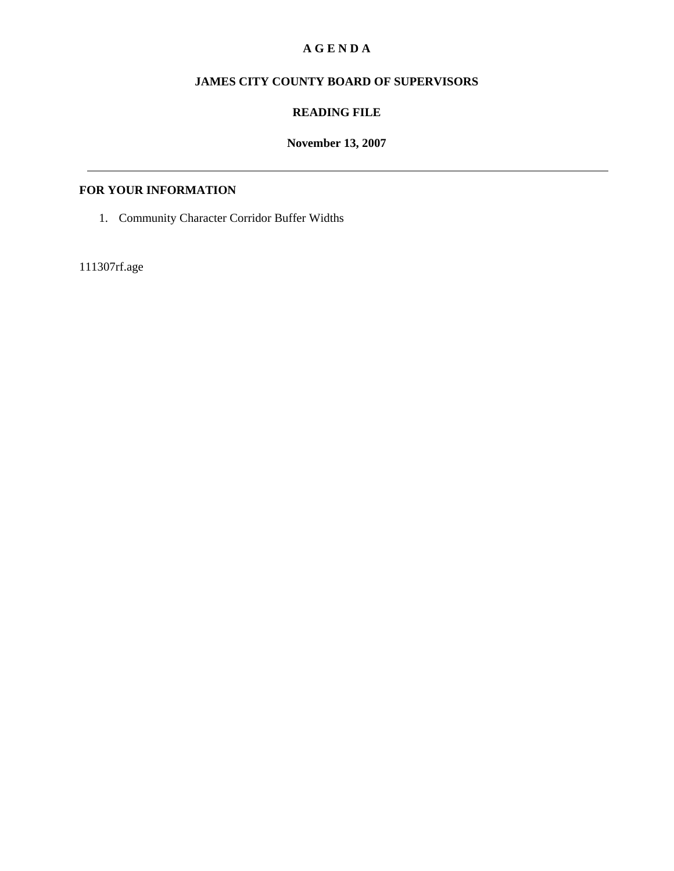## **A G E N D A**

# **JAMES CITY COUNTY BOARD OF SUPERVISORS**

### **READING FILE**

## **November 13, 2007**

## **FOR YOUR INFORMATION**

1. Community Character Corridor Buffer Widths

111307rf.age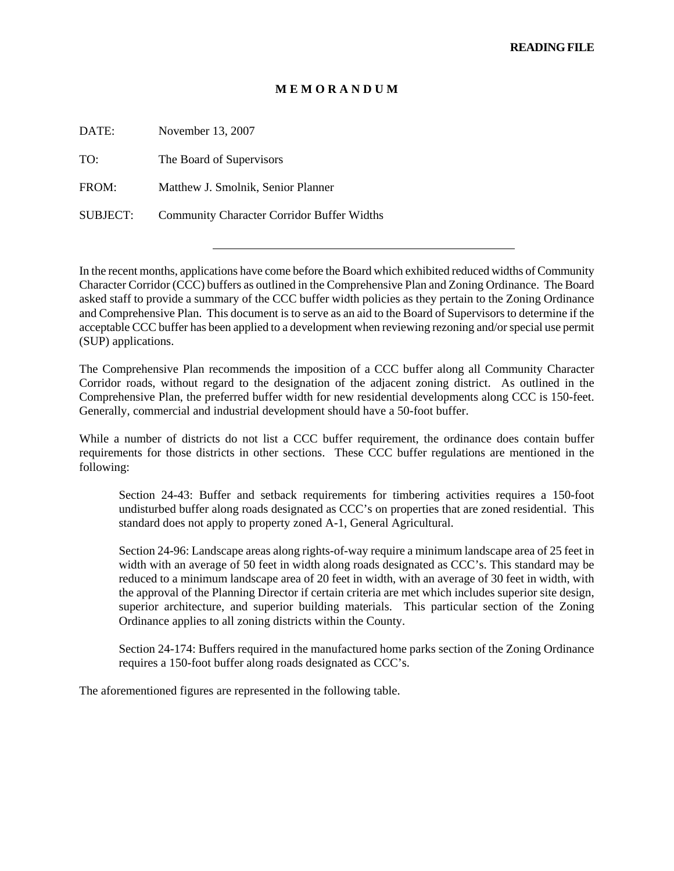#### **M E M O R A N D U M**

| DATE:    | November 13, 2007                                 |
|----------|---------------------------------------------------|
| TO:      | The Board of Supervisors                          |
| FROM:    | Matthew J. Smolnik, Senior Planner                |
| SUBJECT: | <b>Community Character Corridor Buffer Widths</b> |

In the recent months, applications have come before the Board which exhibited reduced widths of Community Character Corridor (CCC) buffers as outlined in the Comprehensive Plan and Zoning Ordinance. The Board asked staff to provide a summary of the CCC buffer width policies as they pertain to the Zoning Ordinance and Comprehensive Plan. This document is to serve as an aid to the Board of Supervisors to determine if the acceptable CCC buffer has been applied to a development when reviewing rezoning and/or special use permit (SUP) applications.

The Comprehensive Plan recommends the imposition of a CCC buffer along all Community Character Corridor roads, without regard to the designation of the adjacent zoning district. As outlined in the Comprehensive Plan, the preferred buffer width for new residential developments along CCC is 150-feet. Generally, commercial and industrial development should have a 50-foot buffer.

While a number of districts do not list a CCC buffer requirement, the ordinance does contain buffer requirements for those districts in other sections. These CCC buffer regulations are mentioned in the following:

Section 24-43: Buffer and setback requirements for timbering activities requires a 150-foot undisturbed buffer along roads designated as CCC's on properties that are zoned residential. This standard does not apply to property zoned A-1, General Agricultural.

Section 24-96: Landscape areas along rights-of-way require a minimum landscape area of 25 feet in width with an average of 50 feet in width along roads designated as CCC's. This standard may be reduced to a minimum landscape area of 20 feet in width, with an average of 30 feet in width, with the approval of the Planning Director if certain criteria are met which includes superior site design, superior architecture, and superior building materials. This particular section of the Zoning Ordinance applies to all zoning districts within the County.

Section 24-174: Buffers required in the manufactured home parks section of the Zoning Ordinance requires a 150-foot buffer along roads designated as CCC's.

The aforementioned figures are represented in the following table.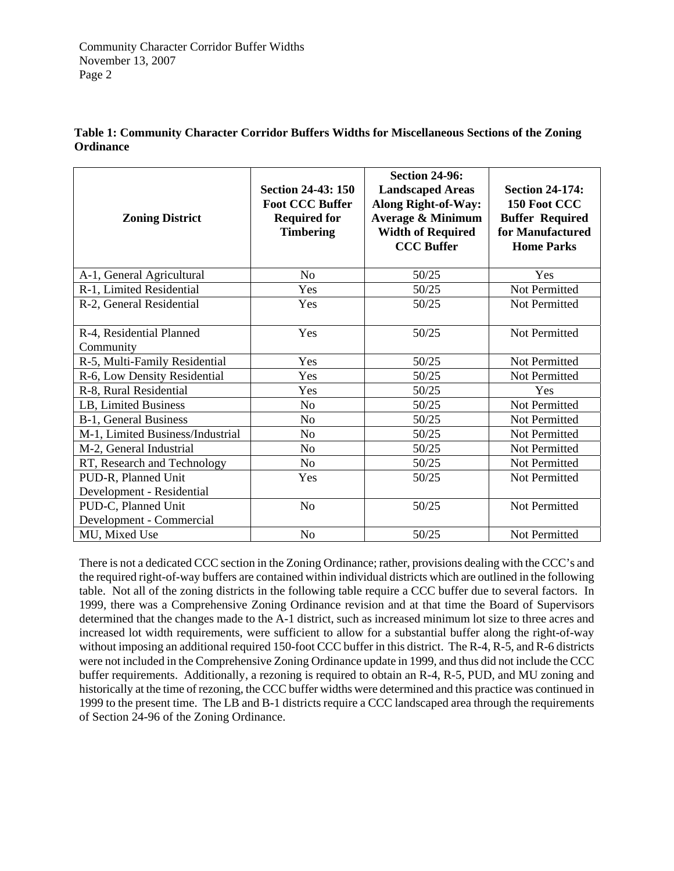| <b>Zoning District</b>                | <b>Section 24-43: 150</b><br><b>Foot CCC Buffer</b><br><b>Required for</b><br><b>Timbering</b> | <b>Section 24-96:</b><br><b>Landscaped Areas</b><br><b>Along Right-of-Way:</b><br><b>Average &amp; Minimum</b><br><b>Width of Required</b><br><b>CCC Buffer</b> | <b>Section 24-174:</b><br>150 Foot CCC<br><b>Buffer Required</b><br>for Manufactured<br><b>Home Parks</b> |
|---------------------------------------|------------------------------------------------------------------------------------------------|-----------------------------------------------------------------------------------------------------------------------------------------------------------------|-----------------------------------------------------------------------------------------------------------|
| A-1, General Agricultural             | No                                                                                             | 50/25                                                                                                                                                           | Yes                                                                                                       |
| R-1, Limited Residential              | Yes                                                                                            | 50/25                                                                                                                                                           | Not Permitted                                                                                             |
| R-2, General Residential              | Yes                                                                                            | 50/25                                                                                                                                                           | Not Permitted                                                                                             |
| R-4, Residential Planned<br>Community | Yes                                                                                            | 50/25                                                                                                                                                           | Not Permitted                                                                                             |
| R-5, Multi-Family Residential         | Yes                                                                                            | 50/25                                                                                                                                                           | Not Permitted                                                                                             |
| R-6, Low Density Residential          | Yes                                                                                            | 50/25                                                                                                                                                           | Not Permitted                                                                                             |
| R-8, Rural Residential                | Yes                                                                                            | 50/25                                                                                                                                                           | Yes                                                                                                       |
| LB, Limited Business                  | No                                                                                             | 50/25                                                                                                                                                           | Not Permitted                                                                                             |
| B-1, General Business                 | No                                                                                             | 50/25                                                                                                                                                           | Not Permitted                                                                                             |
| M-1, Limited Business/Industrial      | No                                                                                             | 50/25                                                                                                                                                           | Not Permitted                                                                                             |
| M-2, General Industrial               | No                                                                                             | 50/25                                                                                                                                                           | Not Permitted                                                                                             |
| RT, Research and Technology           | No                                                                                             | 50/25                                                                                                                                                           | Not Permitted                                                                                             |
| PUD-R, Planned Unit                   | Yes                                                                                            | 50/25                                                                                                                                                           | Not Permitted                                                                                             |
| Development - Residential             |                                                                                                |                                                                                                                                                                 |                                                                                                           |
| PUD-C, Planned Unit                   | N <sub>o</sub>                                                                                 | 50/25                                                                                                                                                           | Not Permitted                                                                                             |
| Development - Commercial              |                                                                                                |                                                                                                                                                                 |                                                                                                           |
| MU, Mixed Use                         | No                                                                                             | 50/25                                                                                                                                                           | Not Permitted                                                                                             |

### **Table 1: Community Character Corridor Buffers Widths for Miscellaneous Sections of the Zoning Ordinance**

There is not a dedicated CCC section in the Zoning Ordinance; rather, provisions dealing with the CCC's and the required right-of-way buffers are contained within individual districts which are outlined in the following table. Not all of the zoning districts in the following table require a CCC buffer due to several factors. In 1999, there was a Comprehensive Zoning Ordinance revision and at that time the Board of Supervisors determined that the changes made to the A-1 district, such as increased minimum lot size to three acres and increased lot width requirements, were sufficient to allow for a substantial buffer along the right-of-way without imposing an additional required 150-foot CCC buffer in this district. The R-4, R-5, and R-6 districts were not included in the Comprehensive Zoning Ordinance update in 1999, and thus did not include the CCC buffer requirements. Additionally, a rezoning is required to obtain an R-4, R-5, PUD, and MU zoning and historically at the time of rezoning, the CCC buffer widths were determined and this practice was continued in 1999 to the present time. The LB and B-1 districts require a CCC landscaped area through the requirements of Section 24-96 of the Zoning Ordinance.